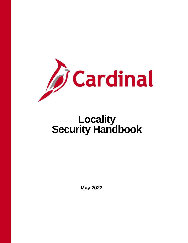

# **Locality Security Handbook**

**May 2022**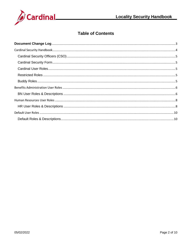

# **Table of Contents**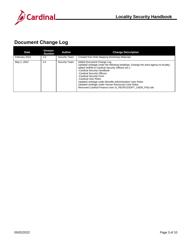



# <span id="page-2-0"></span>**Document Change Log**

| <b>Date</b>   | Version<br><b>Number</b> | Author        | <b>Change Description</b>                                                                                                                                                                                                                                                                                                                                                                                                                                            |
|---------------|--------------------------|---------------|----------------------------------------------------------------------------------------------------------------------------------------------------------------------------------------------------------------------------------------------------------------------------------------------------------------------------------------------------------------------------------------------------------------------------------------------------------------------|
| February 2022 | 1.0                      | Security Team | Created from Role Mapping Workshop Materials                                                                                                                                                                                                                                                                                                                                                                                                                         |
| May 2, 2022   | 2.0                      | Security Team | Added Document Change Log<br>Updated verbiage under the following headings: (change the word agency to locality;<br>added DHRM to Cardinal Security Officers etc.):<br>-Cardinal Security Handbook<br>-Cardinal Security Officers<br>-Cardinal Security Form<br>-Cardinal User Roles<br>Updated verbiage under Benefits Administration User Roles<br>Updated verbiage under Human Resources User Roles<br>Removed Cardinal Finance User (V_PEOPLESOFT_USER_FIN) role |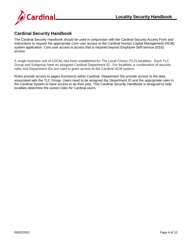

# <span id="page-3-0"></span>**Cardinal Security Handbook**

The Cardinal Security Handbook should be used in conjunction with the Cardinal Security Access Form and instructions to request the appropriate Core user access to the Cardinal Human Capital Management (HCM) system application. Core user access is access that is required beyond Employee Self-Service (ESS) access.

A single business unit of LOCAL has been established for The Local Choice (TLC) localities. Each TLC Group and Subgroup have an assigned Cardinal Department ID. For localities, a combination of security roles and Department IDs are used to grant access to the Cardinal HCM system.

Roles provide access to pages (functions) within Cardinal. Department IDs provide access to the data associated with the TLC Group. Users need to be assigned the Department ID and the appropriate roles in the Cardinal System to have access to do their jobs. This Cardinal Security Handbook is designed to help localities determine the correct roles for Cardinal users.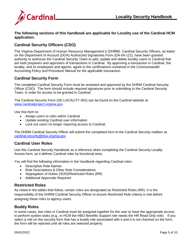

**The following sections of this handbook are applicable for Locality use of the Cardinal HCM application.**

#### <span id="page-4-0"></span>**Cardinal Security Officers (CSO)**

The Virginia Department of Human Resource Management's (DHRM) Cardinal Security Officers, as listed on the Department of Account (DOA) Authorized Signatories Form (DA-04-121), have been granted authority to authorize the Cardinal Security Team to add, update and delete locality users in Cardinal that are both preparers and approvers of transactions in Cardinal. By approving a transaction in Cardinal, the locality, and its employees and agents, agree to the certifications contained in the Commonwealth Accounting Policy and Procedure Manual for the applicable transaction.

#### <span id="page-4-1"></span>**Cardinal Security Form**

The completed Cardinal Security Form must be reviewed and approved by the DHRM Cardinal Security Officer (CSO). The form should include required signatures prior to submitting to the Cardinal Security Team, in order for access to be granted in Cardinal.

The Cardinal Security Form (SE-LOCALITY-001) can be found on the Cardinal website at www.cardinalproject.virginia.gov.

Use this form to:

- Assign users to roles within Cardinal
- Update existing Cardinal user information
- Lock out users no longer requiring access to Cardinal

The DHRM Cardinal Security Officer will submit the completed form to the Cardinal Security mailbox at: [cardinal.security@doa.virginia.gov](mailto:cardinal.security@doa.virginia.gov)

#### <span id="page-4-2"></span>**Cardinal User Roles**

Use this Cardinal Security Handbook as a reference when completing the Cardinal Security Locality Access form, as it defines Cardinal roles by functional area.

You will find the following information in the handbook regarding Cardinal roles:

- Descriptive Role Names
- Role Descriptions & Other Role Considerations
- Segregation of Duties (SOD)/Restricted Roles (RR)
- Additional Approvals Required

#### <span id="page-4-3"></span>**Restricted Roles**

As noted in the tables that follow, certain roles are designated as Restricted Roles (RR). It is the responsibility of the DHRM Cardinal Security Officer to ensure Restricted Role criteria is met before assigning these roles to agency users.

#### <span id="page-4-4"></span>**Buddy Roles**

In some cases, two roles in Cardinal must be assigned together for the user to have the appropriate access to perform system tasks (e.g., in HCM the HBO Benefits Support role needs the HR Read Only role). If you select a role on the security form that has a buddy role associated with it and it is not checked on the form, the form will be rejected until all roles are selected properly.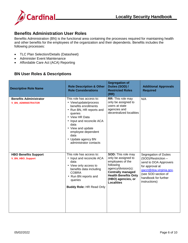

# <span id="page-5-0"></span>**Benefits Administration User Roles**

Benefits Administration (BN) is the functional area containing the processes required for maintaining health and other benefits for the employees of the organization and their dependents. Benefits includes the following processes:

- TLC Plan Selection/Details (Datasheet)
- Administer Event Maintenance
- Affordable Care Act (ACA) Reporting

#### <span id="page-5-1"></span>**BN User Roles & Descriptions**

| <b>Descriptive Role Name</b>                               | <b>Role Description &amp; Other</b><br><b>Role Considerations</b>                                                                                                                                                                                                          | <b>Segregation of</b><br>Duties (SOD) /<br><b>Restricted Roles</b><br>(RR)                                                                                                                                     | <b>Additional Approvals</b><br><b>Required</b>                                                                                                                                     |
|------------------------------------------------------------|----------------------------------------------------------------------------------------------------------------------------------------------------------------------------------------------------------------------------------------------------------------------------|----------------------------------------------------------------------------------------------------------------------------------------------------------------------------------------------------------------|------------------------------------------------------------------------------------------------------------------------------------------------------------------------------------|
| <b>Benefits Administrator</b><br><b>V_BN_ADMINISTRATOR</b> | This role has access to:<br>• View/update/process<br>benefits enrollments<br>• Run BN, HR reports and<br>queries<br>• View HR Data<br>• Input and reconcile ACA<br>data<br>• View and update<br>employee dependent<br>data<br>• Update agency BN<br>administrator contacts | RR: This role may<br>only be assigned to<br>users at state<br>agencies and<br>decentralized localities                                                                                                         | N/A                                                                                                                                                                                |
| <b>HBO Benefits Support</b><br><b>V_BN_HBO_Support</b>     | This role has access to:<br>• Input and reconcile ACA<br>data<br>• View only access to<br>benefits data including<br><b>COBRA</b><br>• Run BN reports and<br>queries<br><b>Buddy Role: HR Read Only</b>                                                                    | <b>SOD:</b> This role may<br>only be assigned to<br>employees of the<br>following<br>agency/division(s):<br><b>Centrally managed</b><br><b>Health Benefits Only</b><br>(HBO) agencies, or<br><b>Localities</b> | Segregation of Duties<br>(SOD)/Restriction -<br>send to DOA Approvers<br>for approval at<br>gacct@doa.virginia.gov<br>(see SOD section of<br>handbook for further<br>instructions) |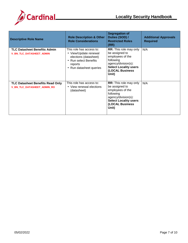

| <b>Descriptive Role Name</b>                                           | <b>Role Description &amp; Other</b><br><b>Role Considerations</b>                                                                         | <b>Segregation of</b><br>Duties (SOD) /<br><b>Restricted Roles</b><br>(RR)                                                                                          | <b>Additional Approvals</b><br><b>Required</b> |
|------------------------------------------------------------------------|-------------------------------------------------------------------------------------------------------------------------------------------|---------------------------------------------------------------------------------------------------------------------------------------------------------------------|------------------------------------------------|
| <b>TLC Datasheet Benefits Admin</b><br>V_BN_TLC_DATASHEET_ADMIN        | This role has access to:<br>• View/Update renewal<br>elections (datasheet)<br>• Run select Benefits<br>reports<br>• Run datasheet queries | <b>RR:</b> This role may only<br>be assigned to<br>employees of the<br>following<br>agency/division(s):<br><b>Select Locality users</b><br>(LOCAL Business<br>Unit) | N/A                                            |
| TLC Datasheet Benefits Read Only<br><b>V_BN_TLC_DATASHEET_ADMIN_RO</b> | This role has access to:<br>• View renewal elections<br>(datasheet)                                                                       | <b>RR:</b> This role may only<br>be assigned to<br>employees of the<br>following<br>agency/division(s):<br><b>Select Locality users</b><br>(LOCAL Business<br>Unit) | N/A                                            |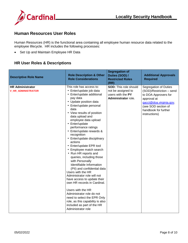

# <span id="page-7-0"></span>**Human Resources User Roles**

Human Resources (HR) is the functional area containing all employee human resource data related to the employee lifecycle. HR includes the following processes:

• Set Up and Maintain Employee HR Data

#### <span id="page-7-1"></span>**HR User Roles & Descriptions**

| <b>Descriptive Role Name</b>                         | <b>Role Description &amp; Other</b><br><b>Role Considerations</b>                                                                                                                                                                                                                                                                                                                                                                                                                                                                                                                                                                                                                                                                                                                                                                                   | <b>Segregation of</b><br>Duties (SOD) /<br><b>Restricted Roles</b><br>(RR)                     | <b>Additional Approvals</b><br><b>Required</b>                                                                                                                                      |
|------------------------------------------------------|-----------------------------------------------------------------------------------------------------------------------------------------------------------------------------------------------------------------------------------------------------------------------------------------------------------------------------------------------------------------------------------------------------------------------------------------------------------------------------------------------------------------------------------------------------------------------------------------------------------------------------------------------------------------------------------------------------------------------------------------------------------------------------------------------------------------------------------------------------|------------------------------------------------------------------------------------------------|-------------------------------------------------------------------------------------------------------------------------------------------------------------------------------------|
| <b>HR Administrator</b><br><b>V_HR_ADMINISTRATOR</b> | This role has access to:<br>• Enter/update job data<br>• Enter/update additional<br>pay data<br>• Update position data<br>• Enter/update personal<br>data<br>• View results of position<br>data upload and<br>employee data upload<br>• Enter/update<br>performance ratings<br>• Enter/update rewards &<br>recognition<br>• Enter/update disciplinary<br>actions<br>• Enter/update EPR tool<br>• Employee match search<br>• Run HR reports and<br>queries, including those<br>with Personally<br>Identifiable Information<br>(PII) and confidential data<br>Users with the HR<br>Administrator role will not<br>have access to update their<br>own HR records in Cardinal.<br>Users with the HR<br>Administrator role do not<br>need to select the EPR Only<br>role, as this capability is also<br>included as part of the HR<br>Administrator role | <b>SOD: This role should</b><br>not be assigned to<br>users with the PY<br>Administrator role. | Segregation of Duties<br>(SOD)/Restriction - send<br>to DOA Approvers for<br>approval at<br>gacct@doa.virginia.gov.<br>(see SOD section of<br>handbook for further<br>instructions) |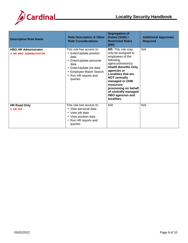

| <b>Descriptive Role Name</b>                                 | <b>Role Description &amp; Other</b><br><b>Role Considerations</b>                                                                                                                       | <b>Segregation of</b><br>Duties (SOD) /<br><b>Restricted Roles</b><br>(RR)                                                                                                                                                                                                                                                    | <b>Additional Approvals</b><br><b>Required</b> |
|--------------------------------------------------------------|-----------------------------------------------------------------------------------------------------------------------------------------------------------------------------------------|-------------------------------------------------------------------------------------------------------------------------------------------------------------------------------------------------------------------------------------------------------------------------------------------------------------------------------|------------------------------------------------|
| <b>HBO HR Administrator</b><br><b>V_HR_HBO_ADMINISTRATOR</b> | This role has access to:<br>• Enter/Update position<br>data<br>• Enter/Update personal<br>data<br>• Enter/Update job data<br>• Employee Match Search<br>• Run HR reports and<br>queries | RR: This role may<br>only be assigned to<br>employees of the<br>following<br>agency/division(s):<br><b>Health Benefits Only</b><br>agencies or<br><b>Localities that are</b><br><b>NOT centrally</b><br>managed or OHB<br>resources<br>processing on behalf<br>of centrally managed<br><b>HBO agencies and</b><br>localities. | N/A                                            |
| <b>HR Read Only</b><br>V_HR_RO                               | This role has access to:<br>• View personal data<br>• View job data<br>• View position data<br>• Run HR reports and<br>queries                                                          | N/A                                                                                                                                                                                                                                                                                                                           | N/A                                            |